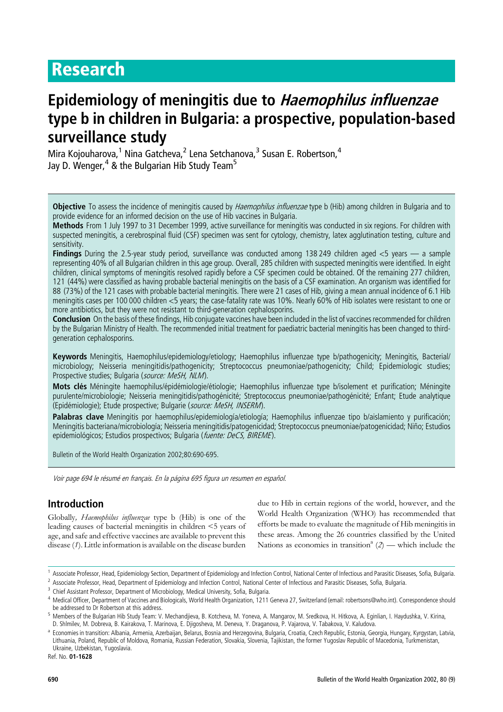# Research

# Epidemiology of meningitis due to Haemophilus influenzae type b in children in Bulgaria: a prospective, population-based surveillance study

Mira Kojouharova,<sup>1</sup> Nina Gatcheva,<sup>2</sup> Lena Setchanova,<sup>3</sup> Susan E. Robertson,<sup>4</sup> Jay D. Wenger,  $4$  & the Bulgarian Hib Study Team<sup>5</sup>

Objective To assess the incidence of meningitis caused by *Haemophilus influenzae* type b (Hib) among children in Bulgaria and to provide evidence for an informed decision on the use of Hib vaccines in Bulgaria.

Methods From 1 July 1997 to 31 December 1999, active surveillance for meningitis was conducted in six regions. For children with suspected meningitis, a cerebrospinal fluid (CSF) specimen was sent for cytology, chemistry, latex agglutination testing, culture and sensitivity.

Findings During the 2.5-year study period, surveillance was conducted among 138 249 children aged <5 years — a sample representing 40% of all Bulgarian children in this age group. Overall, 285 children with suspected meningitis were identified. In eight children, clinical symptoms of meningitis resolved rapidly before a CSF specimen could be obtained. Of the remaining 277 children, 121 (44%) were classified as having probable bacterial meningitis on the basis of a CSF examination. An organism was identified for 88 (73%) of the 121 cases with probable bacterial meningitis. There were 21 cases of Hib, giving a mean annual incidence of 6.1 Hib meningitis cases per 100 000 children <5 years; the case-fatality rate was 10%. Nearly 60% of Hib isolates were resistant to one or more antibiotics, but they were not resistant to third-generation cephalosporins.

Conclusion On the basis of these findings, Hib conjugate vaccines have been included in the list of vaccines recommended for children by the Bulgarian Ministry of Health. The recommended initial treatment for paediatric bacterial meningitis has been changed to thirdgeneration cephalosporins.

Keywords Meningitis, Haemophilus/epidemiology/etiology; Haemophilus influenzae type b/pathogenicity; Meningitis, Bacterial/ microbiology; Neisseria meningitidis/pathogenicity; Streptococcus pneumoniae/pathogenicity; Child; Epidemiologic studies; Prospective studies; Bulgaria (source: MeSH, NLM).

Mots clés Méningite haemophilus/épidémiologie/étiologie: Haemophilus influenzae type b/isolement et purification: Méningite purulente/microbiologie; Neisseria meningitidis/pathogénicité; Streptococcus pneumoniae/pathogénicité; Enfant; Etude analytique (Epidémiologie); Etude prospective; Bulgarie (source: MeSH, INSERM).

Palabras clave Meningitis por haemophilus/epidemiología/etiología; Haemophilus influenzae tipo b/aislamiento y purificación; Meningitis bacteriana/microbiología; Neisseria meningitidis/patogenicidad; Streptococcus pneumoniae/patogenicidad; Niño; Estudios epidemiológicos; Estudios prospectivos; Bulgaria (fuente: DeCS, BIREME).

Bulletin of the World Health Organization 2002;80:690-695.

Voir page 694 le résumé en français. En la página 695 figura un resumen en español.

# Introduction

Globally, Haemophilus influenzae type b (Hib) is one of the leading causes of bacterial meningitis in children <5 years of age, and safe and effective vaccines are available to prevent this disease (1). Little information is available on the disease burden due to Hib in certain regions of the world, however, and the World Health Organization (WHO) has recommended that efforts be made to evaluate the magnitude of Hib meningitis in these areas. Among the 26 countries classified by the United Nations as economies in transition<sup>a</sup>  $(2)$  — which include the

Ref. No. 01-1628

<sup>1</sup> Associate Professor, Head, Epidemiology Section, Department of Epidemiology and Infection Control, National Center of Infectious and Parasitic Diseases, Sofia, Bulgaria.

<sup>&</sup>lt;sup>2</sup> Associate Professor, Head, Department of Epidemiology and Infection Control, National Center of Infectious and Parasitic Diseases, Sofia, Bulgaria.

<sup>&</sup>lt;sup>3</sup> Chief Assistant Professor, Department of Microbiology, Medical University, Sofia, Bulgaria.

<sup>4</sup> Medical Officer, Department of Vaccines and Biologicals, World Health Organization, 1211 Geneva 27, Switzerland (email: robertsons@who.int). Correspondence should be addressed to Dr Robertson at this address.

<sup>&</sup>lt;sup>5</sup> Members of the Bulgarian Hib Study Team: V. Mechandjieva, B. Kotcheva, M. Yoneva, A. Mangarov, M. Sredkova, H. Hitkova, A. Eginlian, I. Haydushka, V. Kirina, D. Shlmilev, M. Dobreva, B. Kairakova, T. Marinova, E. Djigosheva, M. Deneva, Y. Draganova, P. Vajarova, V. Tabakova, V. Kaludova.

<sup>&</sup>lt;sup>a</sup> Economies in transition: Albania, Armenia, Azerbaijan, Belarus, Bosnia and Herzegovina, Bulgaria, Croatia, Czech Republic, Estonia, Georgia, Hungary, Kyrgystan, Latvia, Lithuania, Poland, Republic of Moldova, Romania, Russian Federation, Slovakia, Slovenia, Tajikistan, the former Yugoslav Republic of Macedonia, Turkmenistan, Ukraine, Uzbekistan, Yugoslavia.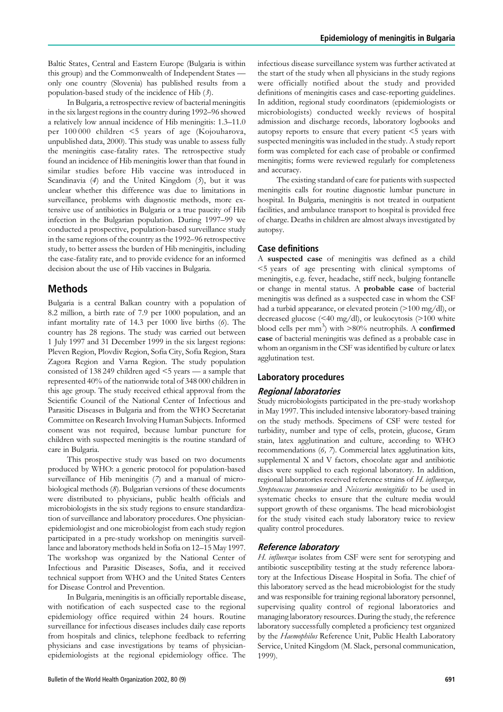Baltic States, Central and Eastern Europe (Bulgaria is within this group) and the Commonwealth of Independent States only one country (Slovenia) has published results from a population-based study of the incidence of Hib  $(3)$ .

In Bulgaria, a retrospective review of bacterial meningitis in the six largest regions in the country during 1992–96 showed a relatively low annual incidence of Hib meningitis: 1.3–11.0 per 100 000 children <5 years of age (Kojouharova, unpublished data, 2000). This study was unable to assess fully the meningitis case-fatality rates. The retrospective study found an incidence of Hib meningitis lower than that found in similar studies before Hib vaccine was introduced in Scandinavia  $(4)$  and the United Kingdom  $(5)$ , but it was unclear whether this difference was due to limitations in surveillance, problems with diagnostic methods, more extensive use of antibiotics in Bulgaria or a true paucity of Hib infection in the Bulgarian population. During 1997–99 we conducted a prospective, population-based surveillance study in the same regions of the country as the 1992–96 retrospective study, to better assess the burden of Hib meningitis, including the case-fatality rate, and to provide evidence for an informed decision about the use of Hib vaccines in Bulgaria.

# Methods

Bulgaria is a central Balkan country with a population of 8.2 million, a birth rate of 7.9 per 1000 population, and an infant mortality rate of 14.3 per 1000 live births (6). The country has 28 regions. The study was carried out between 1 July 1997 and 31 December 1999 in the six largest regions: Pleven Region, Plovdiv Region, Sofia City, Sofia Region, Stara Zagora Region and Varna Region. The study population consisted of 138 249 children aged <5 years — a sample that represented 40% of the nationwide total of 348 000 children in this age group. The study received ethical approval from the Scientific Council of the National Center of Infectious and Parasitic Diseases in Bulgaria and from the WHO Secretariat Committee on Research Involving Human Subjects. Informed consent was not required, because lumbar puncture for children with suspected meningitis is the routine standard of care in Bulgaria.

This prospective study was based on two documents produced by WHO: a generic protocol for population-based surveillance of Hib meningitis (7) and a manual of microbiological methods (8). Bulgarian versions of these documents were distributed to physicians, public health officials and microbiologists in the six study regions to ensure standardization of surveillance and laboratory procedures. One physicianepidemiologist and one microbiologist from each study region participated in a pre-study workshop on meningitis surveillance and laboratory methods held in Sofia on 12–15 May 1997. The workshop was organized by the National Center of Infectious and Parasitic Diseases, Sofia, and it received technical support from WHO and the United States Centers for Disease Control and Prevention.

In Bulgaria, meningitis is an officially reportable disease, with notification of each suspected case to the regional epidemiology office required within 24 hours. Routine surveillance for infectious diseases includes daily case reports from hospitals and clinics, telephone feedback to referring physicians and case investigations by teams of physicianepidemiologists at the regional epidemiology office. The infectious disease surveillance system was further activated at the start of the study when all physicians in the study regions were officially notified about the study and provided definitions of meningitis cases and case-reporting guidelines. In addition, regional study coordinators (epidemiologists or microbiologists) conducted weekly reviews of hospital admission and discharge records, laboratory logbooks and autopsy reports to ensure that every patient <5 years with suspected meningitis was included in the study. A study report form was completed for each case of probable or confirmed meningitis; forms were reviewed regularly for completeness and accuracy.

The existing standard of care for patients with suspected meningitis calls for routine diagnostic lumbar puncture in hospital. In Bulgaria, meningitis is not treated in outpatient facilities, and ambulance transport to hospital is provided free of charge. Deaths in children are almost always investigated by autopsy.

#### Case definitions

A suspected case of meningitis was defined as a child <5 years of age presenting with clinical symptoms of meningitis, e.g. fever, headache, stiff neck, bulging fontanelle or change in mental status. A probable case of bacterial meningitis was defined as a suspected case in whom the CSF had a turbid appearance, or elevated protein  $(>100 \text{ mg/dl})$ , or decreased glucose (<40 mg/dl), or leukocytosis (>100 white blood cells per mm<sup>3</sup>) with >80% neutrophils. A **confirmed** case of bacterial meningitis was defined as a probable case in whom an organism in the CSF was identified by culture or latex agglutination test.

#### Laboratory procedures

#### Regional laboratories

Study microbiologists participated in the pre-study workshop in May 1997. This included intensive laboratory-based training on the study methods. Specimens of CSF were tested for turbidity, number and type of cells, protein, glucose, Gram stain, latex agglutination and culture, according to WHO recommendations (6, 7). Commercial latex agglutination kits, supplemental X and V factors, chocolate agar and antibiotic discs were supplied to each regional laboratory. In addition, regional laboratories received reference strains of H. influenzae, Streptococcus pneumoniae and Neisseria meningitidis to be used in systematic checks to ensure that the culture media would support growth of these organisms. The head microbiologist for the study visited each study laboratory twice to review quality control procedures.

### Reference laboratory

H. influenzae isolates from CSF were sent for serotyping and antibiotic susceptibility testing at the study reference laboratory at the Infectious Disease Hospital in Sofia. The chief of this laboratory served as the head microbiologist for the study and was responsible for training regional laboratory personnel, supervising quality control of regional laboratories and managing laboratory resources. During the study, the reference laboratory successfully completed a proficiency test organized by the Haemophilus Reference Unit, Public Health Laboratory Service, United Kingdom (M. Slack, personal communication, 1999).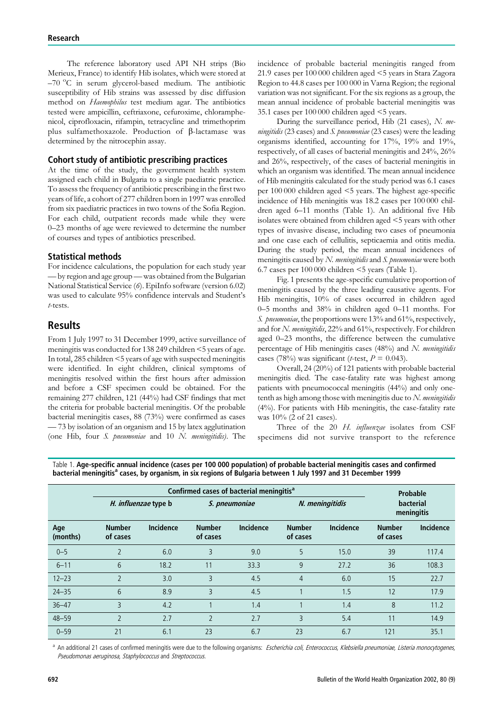The reference laboratory used API NH strips (Bio Merieux, France) to identify Hib isolates, which were stored at -70 °C in serum glycerol-based medium. The antibiotic susceptibility of Hib strains was assessed by disc diffusion method on Haemophilus test medium agar. The antibiotics tested were ampicillin, ceftriaxone, cefuroxime, chloramphenicol, ciprofloxacin, rifampin, tetracycline and trimethoprim plus sulfamethoxazole. Production of  $\beta$ -lactamase was determined by the nitrocephin assay.

## Cohort study of antibiotic prescribing practices

At the time of the study, the government health system assigned each child in Bulgaria to a single paediatric practice. To assess the frequency of antibiotic prescribing in the first two years of life, a cohort of 277 children born in 1997 was enrolled from six paediatric practices in two towns of the Sofia Region. For each child, outpatient records made while they were 0–23 months of age were reviewed to determine the number of courses and types of antibiotics prescribed.

#### Statistical methods

For incidence calculations, the population for each study year — by region and age group— was obtained from the Bulgarian National Statistical Service (6). EpiInfo software (version 6.02) was used to calculate 95% confidence intervals and Student's t-tests.

## Results

From 1 July 1997 to 31 December 1999, active surveillance of meningitis was conducted for 138 249 children <5 years of age. In total, 285 children <5 years of age with suspected meningitis were identified. In eight children, clinical symptoms of meningitis resolved within the first hours after admission and before a CSF specimen could be obtained. For the remaining 277 children, 121 (44%) had CSF findings that met the criteria for probable bacterial meningitis. Of the probable bacterial meningitis cases, 88 (73%) were confirmed as cases — 73 by isolation of an organism and 15 by latex agglutination (one Hib, four S. pneumoniae and 10 N. meningitidis). The incidence of probable bacterial meningitis ranged from 21.9 cases per 100 000 children aged <5 years in Stara Zagora Region to 44.8 cases per 100 000 in Varna Region; the regional variation was not significant. For the six regions as a group, the mean annual incidence of probable bacterial meningitis was 35.1 cases per 100 000 children aged <5 years.

During the surveillance period, Hib (21 cases), N. meningitidis (23 cases) and S. pneumoniae (23 cases) were the leading organisms identified, accounting for 17%, 19% and 19%, respectively, of all cases of bacterial meningitis and 24%, 26% and 26%, respectively, of the cases of bacterial meningitis in which an organism was identified. The mean annual incidence of Hib meningitis calculated for the study period was 6.1 cases per 100 000 children aged <5 years. The highest age-specific incidence of Hib meningitis was 18.2 cases per 100 000 children aged 6–11 months (Table 1). An additional five Hib isolates were obtained from children aged <5 years with other types of invasive disease, including two cases of pneumonia and one case each of cellulitis, septicaemia and otitis media. During the study period, the mean annual incidences of meningitis caused by  $N$ . meningitidis and  $S$ . pneumoniae were both 6.7 cases per 100 000 children <5 years (Table 1).

Fig. 1 presents the age-specific cumulative proportion of meningitis caused by the three leading causative agents. For Hib meningitis, 10% of cases occurred in children aged 0–5 months and 38% in children aged 0–11 months. For S. pneumoniae, the proportions were 13% and 61%, respectively, and for N. meningitidis, 22% and 61%, respectively. For children aged 0–23 months, the difference between the cumulative percentage of Hib meningitis cases (48%) and N. meningitidis cases (78%) was significant (*t*-test,  $P = 0.043$ ).

Overall, 24 (20%) of 121 patients with probable bacterial meningitis died. The case-fatality rate was highest among patients with pneumococcal meningitis (44%) and only onetenth as high among those with meningitis due to  $N$ . *meningitidis* (4%). For patients with Hib meningitis, the case-fatality rate was 10% (2 of 21 cases).

Three of the 20 H. influenzae isolates from CSF specimens did not survive transport to the reference

|                 | Confirmed cases of bacterial meningitis <sup>a</sup> |                      |                           |                  |                           |                  | Probable                  |                         |
|-----------------|------------------------------------------------------|----------------------|---------------------------|------------------|---------------------------|------------------|---------------------------|-------------------------|
|                 |                                                      | H. influenzae type b |                           | S. pneumoniae    |                           | N. meningitidis  |                           | bacterial<br>meningitis |
| Age<br>(months) | <b>Number</b><br>of cases                            | <b>Incidence</b>     | <b>Number</b><br>of cases | <b>Incidence</b> | <b>Number</b><br>of cases | <b>Incidence</b> | <b>Number</b><br>of cases | <b>Incidence</b>        |
| $0 - 5$         | $\overline{2}$                                       | 6.0                  | 3                         | 9.0              | 5                         | 15.0             | 39                        | 117.4                   |
| $6 - 11$        | 6                                                    | 18.2                 | 11                        | 33.3             | 9                         | 27.2             | 36                        | 108.3                   |
| $12 - 23$       | $\mathfrak{D}$                                       | 3.0                  | 3                         | 4.5              | $\overline{4}$            | 6.0              | 15                        | 22.7                    |
| $24 - 35$       | 6                                                    | 8.9                  | ξ                         | 4.5              |                           | 1.5              | 12                        | 17.9                    |
| $36 - 47$       | 3                                                    | 4.2                  |                           | 1.4              |                           | 1.4              | 8                         | 11.2                    |
| $48 - 59$       | $\mathfrak{D}$                                       | 2.7                  | $\overline{\phantom{0}}$  | 2.7              | 3                         | 5.4              | 11                        | 14.9                    |
| $0 - 59$        | 21                                                   | 6.1                  | 23                        | 6.7              | 23                        | 6.7              | 121                       | 35.1                    |

Table 1. Age-specific annual incidence (cases per 100 000 population) of probable bacterial meningitis cases and confirmed bacterial meningitis<sup>a</sup> cases, by organism, in six regions of Bulgaria between 1 July 1997 and 31 December 1999

<sup>a</sup> An additional 21 cases of confirmed meningitis were due to the following organisms: Escherichia coli, Enterococcus, Klebsiella pneumoniae, Listeria monocytogenes, Pseudomonas aeruginosa, Staphylococcus and Streptococcus.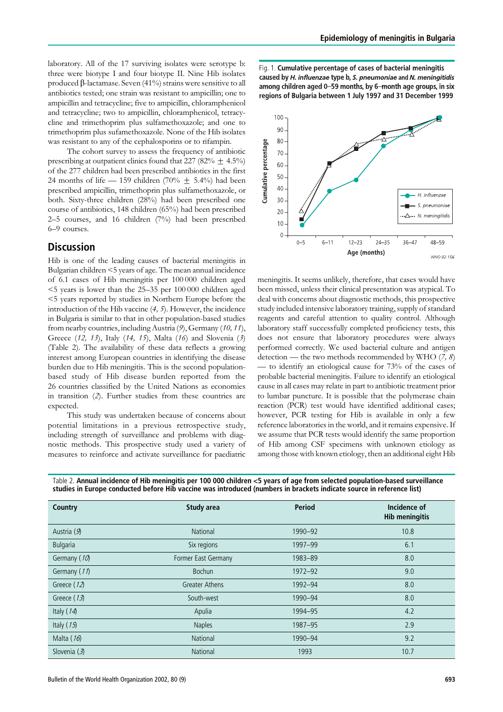laboratory. All of the 17 surviving isolates were serotype b: three were biotype I and four biotype II. Nine Hib isolates produced  $\beta$ -lactamase. Seven (41%) strains were sensitive to all antibiotics tested; one strain was resistant to ampicillin; one to ampicillin and tetracycline; five to ampicillin, chloramphenicol and tetracycline; two to ampicillin, chloramphenicol, tetracycline and trimethoprim plus sulfamethoxazole; and one to trimethoprim plus sufamethoxazole. None of the Hib isolates was resistant to any of the cephalosporins or to rifampin.

The cohort survey to assess the frequency of antibiotic prescribing at outpatient clinics found that 227 (82%  $\pm$  4.5%) of the 277 children had been prescribed antibiotics in the first 24 months of life — 159 children (70%  $\pm$  5.4%) had been prescribed ampicillin, trimethoprin plus sulfamethoxazole, or both. Sixty-three children (28%) had been prescribed one course of antibiotics, 148 children (65%) had been prescribed 2–5 courses, and 16 children (7%) had been prescribed 6–9 courses.

## **Discussion**

Hib is one of the leading causes of bacterial meningitis in Bulgarian children <5 years of age. The mean annual incidence of 6.1 cases of Hib meningitis per 100 000 children aged <5 years is lower than the 25–35 per 100 000 children aged <5 years reported by studies in Northern Europe before the introduction of the Hib vaccine (4, 5). However, the incidence in Bulgaria is similar to that in other population-based studies from nearby countries, including Austria (9), Germany (10, 11), Greece (12, 13), Italy (14, 15), Malta (16) and Slovenia (3) (Table 2). The availability of these data reflects a growing interest among European countries in identifying the disease burden due to Hib meningitis. This is the second populationbased study of Hib disease burden reported from the 26 countries classified by the United Nations as economies in transition (2). Further studies from these countries are expected.

This study was undertaken because of concerns about potential limitations in a previous retrospective study, including strength of surveillance and problems with diagnostic methods. This prospective study used a variety of measures to reinforce and activate surveillance for paediatric Fig. 1. Cumulative percentage of cases of bacterial meningitis caused by H. influenzae type b, S. pneumoniae and N. meningitidis among children aged 0-59 months, by 6-month age groups, in six regions of Bulgaria between 1 July 1997 and 31 December 1999



meningitis. It seems unlikely, therefore, that cases would have been missed, unless their clinical presentation was atypical. To deal with concerns about diagnostic methods, this prospective study included intensive laboratory training, supply of standard reagents and careful attention to quality control. Although laboratory staff successfully completed proficiency tests, this does not ensure that laboratory procedures were always performed correctly. We used bacterial culture and antigen detection — the two methods recommended by WHO  $(7, 8)$ — to identify an etiological cause for 73% of the cases of probable bacterial meningitis. Failure to identify an etiological cause in all cases may relate in part to antibiotic treatment prior to lumbar puncture. It is possible that the polymerase chain reaction (PCR) test would have identified additional cases; however, PCR testing for Hib is available in only a few reference laboratories in the world, and it remains expensive. If we assume that PCR tests would identify the same proportion of Hib among CSF specimens with unknown etiology as among those with known etiology, then an additional eight Hib

| <b>Country</b> | <b>Study area</b>     | <b>Period</b> | Incidence of<br><b>Hib meningitis</b> |
|----------------|-----------------------|---------------|---------------------------------------|
| Austria (9)    | <b>National</b>       | 1990-92       | 10.8                                  |
| Bulgaria       | Six regions           | 1997-99       | 6.1                                   |
| Germany (10)   | Former East Germany   | 1983-89       | 8.0                                   |
| Germany (11)   | Bochun                | $1972 - 92$   | 9.0                                   |
| Greece (12)    | <b>Greater Athens</b> | 1992-94       | 8.0                                   |
| Greece (13)    | South-west            | 1990-94       | 8.0                                   |
| Italy (14)     | Apulia                | 1994-95       | 4.2                                   |
| Italy (15)     | <b>Naples</b>         | 1987-95       | 2.9                                   |
| Malta (16)     | National              | 1990-94       | 9.2                                   |
| Slovenia $(3)$ | <b>National</b>       | 1993          | 10.7                                  |

Table 2. Annual incidence of Hib meningitis per 100 000 children <5 years of age from selected population-based surveillance studies in Europe conducted before Hib vaccine was introduced (numbers in brackets indicate source in reference list)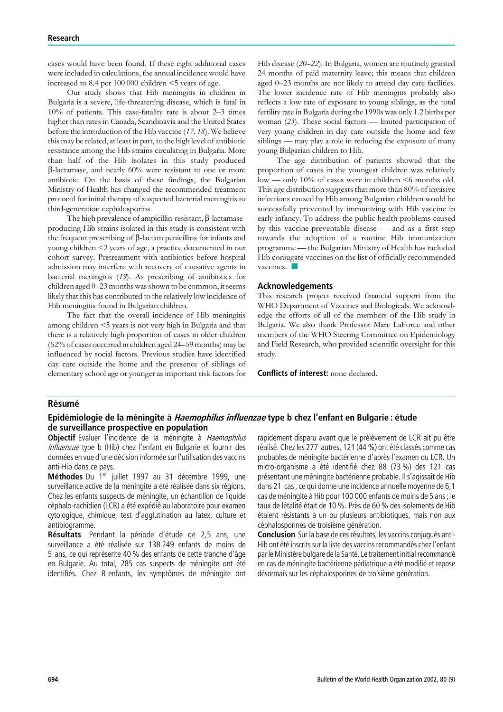cases would have been found. If these eight additional cases were included in calculations, the annual incidence would have increased to 8.4 per 100 000 children <5 years of age.

Our study shows that Hib meningitis in children in Bulgaria is a severe, life-threatening disease, which is fatal in 10% of patients. This case-fatality rate is about 2–3 times higher than rates in Canada, Scandinavia and the United States before the introduction of the Hib vaccine (17, 18). We believe this may be related, at least in part, to the high level of antibiotic resistance among the Hib strains circulating in Bulgaria. More than half of the Hib isolates in this study produced  $\beta$ -lactamase, and nearly 60% were resistant to one or more antibiotic. On the basis of these findings, the Bulgarian Ministry of Health has changed the recommended treatment protocol for initial therapy of suspected bacterial meningitis to third-generation cephalosporins.

The high prevalence of ampicillin-resistant,  $\beta$ -lactamaseproducing Hib strains isolated in this study is consistent with the frequent prescribing of  $\beta$ -lactam penicillins for infants and young children <2 years of age, a practice documented in our cohort survey. Pretreatment with antibiotics before hospital admission may interfere with recovery of causative agents in bacterial meningitis (19). As prescribing of antibiotics for children aged 0–23 months was shown to be common, it seems likely that this has contributed to the relatively low incidence of Hib meningitis found in Bulgarian children.

The fact that the overall incidence of Hib meningitis among children <5 years is not very high in Bulgaria and that there is a relatively high proportion of cases in older children (52% of cases occurred in children aged 24–59 months) may be influenced by social factors. Previous studies have identified day care outside the home and the presence of siblings of elementary school age or younger as important risk factors for

Hib disease (20–22). In Bulgaria, women are routinely granted 24 months of paid maternity leave; this means that children aged 0–23 months are not likely to attend day care facilities. The lower incidence rate of Hib meningitis probably also reflects a low rate of exposure to young siblings, as the total fertility rate in Bulgaria during the 1990s was only 1.2 births per woman  $(23)$ . These social factors — limited participation of very young children in day care outside the home and few siblings — may play a role in reducing the exposure of many young Bulgarian children to Hib.

The age distribution of patients showed that the proportion of cases in the youngest children was relatively low — only 10% of cases were in children <6 months old. This age distribution suggests that more than 80% of invasive infections caused by Hib among Bulgarian children would be successfully prevented by immunizing with Hib vaccine in early infancy. To address the public health problems caused by this vaccine-preventable disease — and as a first step towards the adoption of a routine Hib immunization programme — the Bulgarian Ministry of Health has included Hib conjugate vaccines on the list of officially recommended vaccines<sup>1</sup>

#### Acknowledgements

This research project received financial support from the WHO Department of Vaccines and Biologicals. We acknowledge the efforts of all of the members of the Hib study in Bulgaria. We also thank Professor Marc LaForce and other members of the WHO Steering Committee on Epidemiology and Field Research, who provided scientific oversight for this study.

Conflicts of interest: none declared.

#### **Résumé**

## Epidémiologie de la méningite à *Haemophilus influenzae* type b chez l'enfant en Bulgarie : étude de surveillance prospective en population

Objectif Evaluer l'incidence de la méningite à Haemophilus influenzae type b (Hib) chez l'enfant en Bulgarie et fournir des données en vue d'une décision informée sur l'utilisation des vaccins anti-Hib dans ce pays.

Méthodes Du 1<sup>er</sup> juillet 1997 au 31 décembre 1999, une surveillance active de la méningite a été réalisée dans six régions. Chez les enfants suspects de méningite, un échantillon de liquide céphalo-rachidien (LCR) a été expédié au laboratoire pour examen cytologique, chimique, test d'agglutination au latex, culture et antibiogramme.

Résultats Pendant la période d'étude de 2,5 ans, une surveillance a été réalisée sur 138 249 enfants de moins de 5 ans, ce qui représente 40 % des enfants de cette tranche d'âge en Bulgarie. Au total, 285 cas suspects de méningite ont été identifiés. Chez 8 enfants, les symptômes de méningite ont rapidement disparu avant que le prélèvement de LCR ait pu être réalisé. Chez les 277 autres, 121 (44 %) ont été classés comme cas probables de méningite bactérienne d'après l'examen du LCR. Un micro-organisme a été identifié chez 88 (73 %) des 121 cas présentant une méningite bactérienne probable. Il s'agissait de Hib dans 21 cas , ce qui donne une incidence annuelle moyenne de 6,1 cas de méningite à Hib pour 100 000 enfants de moins de 5 ans : le taux de létalité était de 10 %. Près de 60 % des isolements de Hib étaient résistants à un ou plusieurs antibiotiques, mais non aux céphalosporines de troisième génération.

Conclusion Sur la base de ces résultats, les vaccins conjugués anti-Hib ont été inscrits sur la liste des vaccins recommandés chez l'enfant par le Ministère bulgare de la Santé. Le traitement initial recommandé en cas de méningite bactérienne pédiatrique a été modifié et repose désormais sur les céphalosporines de troisième génération.